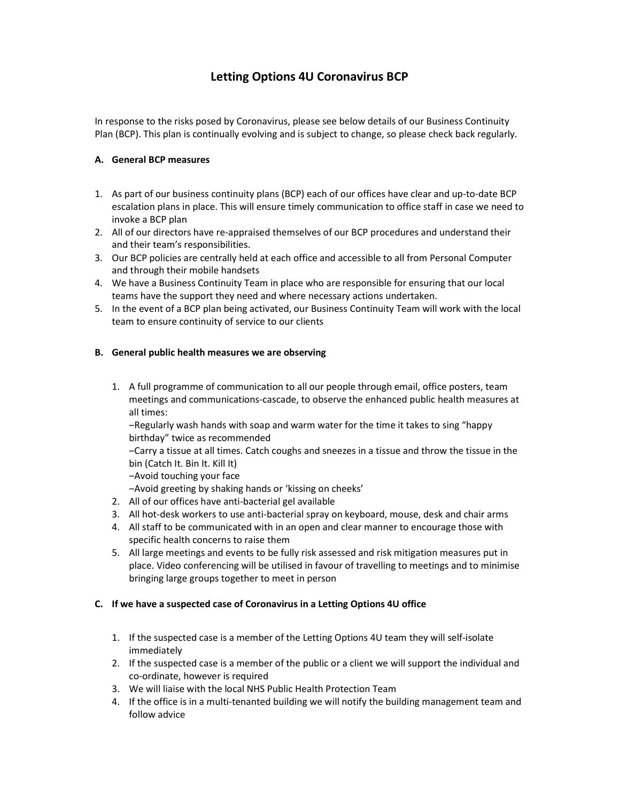# Letting Options 4U Coronavirus BCP

In response to the risks posed by Coronavirus, please see below details of our Business Continuity Plan (BCP). This plan is continually evolving and is subject to change, so please check back regularly.

## A. General BCP measures

- 1. As part of our business continuity plans (BCP) each of our offices have clear and up-to-date BCP escalation plans in place. This will ensure timely communication to office staff in case we need to invoke a BCP plan
- 2. All of our directors have re-appraised themselves of our BCP procedures and understand their and their team's responsibilities.
- 3. Our BCP policies are centrally held at each office and accessible to all from Personal Computer and through their mobile handsets
- 4. We have a Business Continuity Team in place who are responsible for ensuring that our local teams have the support they need and where necessary actions undertaken.
- 5. In the event of a BCP plan being activated, our Business Continuity Team will work with the local team to ensure continuity of service to our clients

## B. General public health measures we are observing

1. A full programme of communication to all our people through email, office posters, team meetings and communications-cascade, to observe the enhanced public health measures at all times:

‒Regularly wash hands with soap and warm water for the time it takes to sing "happy birthday" twice as recommended

‒Carry a tissue at all times. Catch coughs and sneezes in a tissue and throw the tissue in the bin (Catch It. Bin It. Kill It)

-Avoid touching your face

‒Avoid greeting by shaking hands or 'kissing on cheeks'

- 2. All of our offices have anti-bacterial gel available
- 3. All hot-desk workers to use anti-bacterial spray on keyboard, mouse, desk and chair arms
- 4. All staff to be communicated with in an open and clear manner to encourage those with specific health concerns to raise them
- 5. All large meetings and events to be fully risk assessed and risk mitigation measures put in place. Video conferencing will be utilised in favour of travelling to meetings and to minimise bringing large groups together to meet in person

## C. If we have a suspected case of Coronavirus in a Letting Options 4U office

- 1. If the suspected case is a member of the Letting Options 4U team they will self-isolate immediately
- 2. If the suspected case is a member of the public or a client we will support the individual and co-ordinate, however is required
- 3. We will liaise with the local NHS Public Health Protection Team
- 4. If the office is in a multi-tenanted building we will notify the building management team and follow advice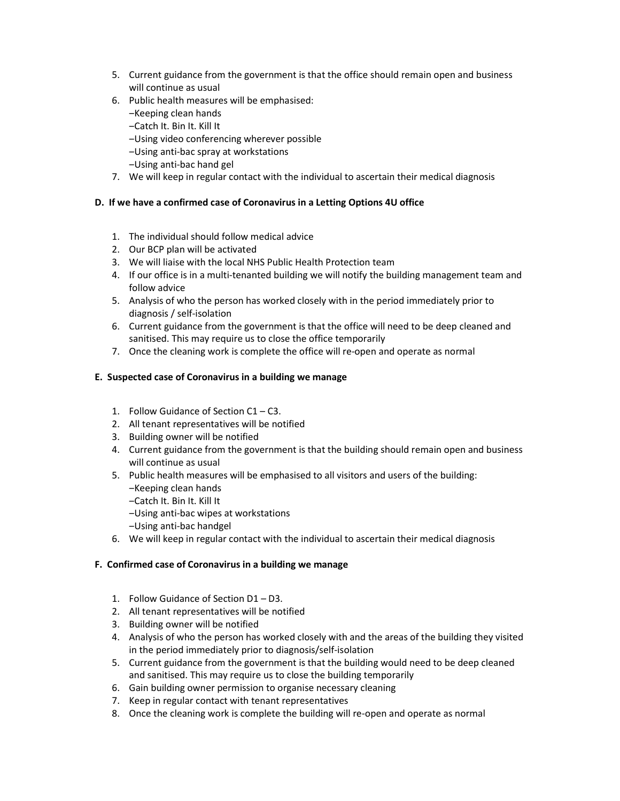- 5. Current guidance from the government is that the office should remain open and business will continue as usual
- 6. Public health measures will be emphasised:
	- ‒Keeping clean hands
	- ‒Catch It. Bin It. Kill It
	- ‒Using video conferencing wherever possible
	- ‒Using anti-bac spray at workstations
	- ‒Using anti-bac hand gel
- 7. We will keep in regular contact with the individual to ascertain their medical diagnosis

#### D. If we have a confirmed case of Coronavirus in a Letting Options 4U office

- 1. The individual should follow medical advice
- 2. Our BCP plan will be activated
- 3. We will liaise with the local NHS Public Health Protection team
- 4. If our office is in a multi-tenanted building we will notify the building management team and follow advice
- 5. Analysis of who the person has worked closely with in the period immediately prior to diagnosis / self-isolation
- 6. Current guidance from the government is that the office will need to be deep cleaned and sanitised. This may require us to close the office temporarily
- 7. Once the cleaning work is complete the office will re-open and operate as normal

#### E. Suspected case of Coronavirus in a building we manage

- 1. Follow Guidance of Section C1 C3.
- 2. All tenant representatives will be notified
- 3. Building owner will be notified
- 4. Current guidance from the government is that the building should remain open and business will continue as usual
- 5. Public health measures will be emphasised to all visitors and users of the building:
	- ‒Keeping clean hands
	- ‒Catch It. Bin It. Kill It
	- ‒Using anti-bac wipes at workstations
	- ‒Using anti-bac handgel
- 6. We will keep in regular contact with the individual to ascertain their medical diagnosis

#### F. Confirmed case of Coronavirus in a building we manage

- 1. Follow Guidance of Section D1 D3.
- 2. All tenant representatives will be notified
- 3. Building owner will be notified
- 4. Analysis of who the person has worked closely with and the areas of the building they visited in the period immediately prior to diagnosis/self-isolation
- 5. Current guidance from the government is that the building would need to be deep cleaned and sanitised. This may require us to close the building temporarily
- 6. Gain building owner permission to organise necessary cleaning
- 7. Keep in regular contact with tenant representatives
- 8. Once the cleaning work is complete the building will re-open and operate as normal